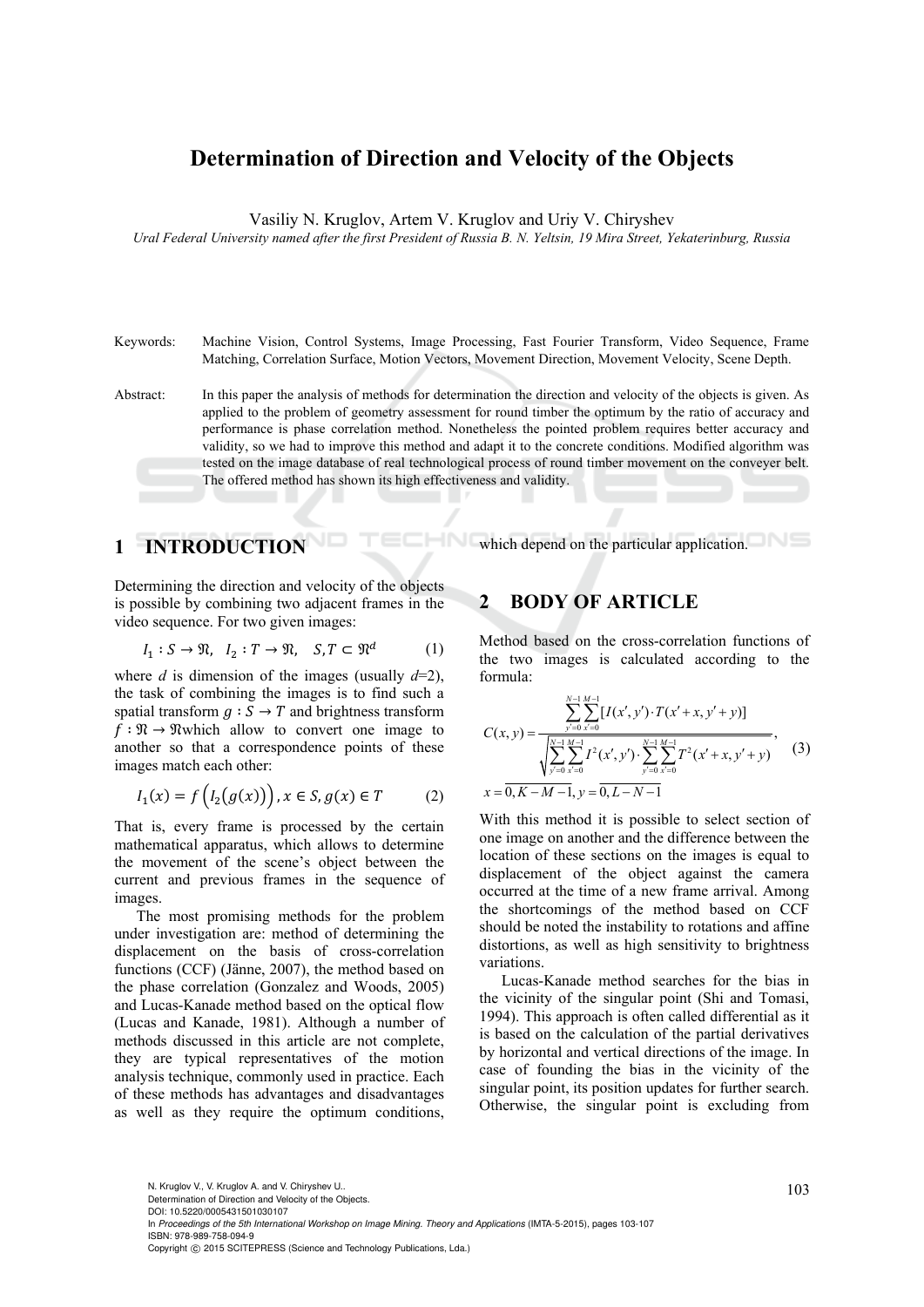## **Determination of Direction and Velocity of the Objects**

Vasiliy N. Kruglov, Artem V. Kruglov and Uriy V. Chiryshev

*Ural Federal University named after the first President of Russia B. N. Yeltsin, 19 Mira Street, Yekaterinburg, Russia* 

Keywords: Machine Vision, Control Systems, Image Processing, Fast Fourier Transform, Video Sequence, Frame Matching, Correlation Surface, Motion Vectors, Movement Direction, Movement Velocity, Scene Depth.

Abstract: In this paper the analysis of methods for determination the direction and velocity of the objects is given. As applied to the problem of geometry assessment for round timber the optimum by the ratio of accuracy and performance is phase correlation method. Nonetheless the pointed problem requires better accuracy and validity, so we had to improve this method and adapt it to the concrete conditions. Modified algorithm was tested on the image database of real technological process of round timber movement on the conveyer belt. The offered method has shown its high effectiveness and validity.

1N

# **1 INTRODUCTION**

Determining the direction and velocity of the objects is possible by combining two adjacent frames in the video sequence. For two given images:

$$
I_1: S \to \mathfrak{N}, \quad I_2: T \to \mathfrak{N}, \quad S, T \subset \mathfrak{N}^d \qquad \qquad (1)
$$

where *d* is dimension of the images (usually  $d=2$ ), the task of combining the images is to find such a spatial transform  $g : S \rightarrow T$  and brightness transform  $f : \Re \rightarrow \Re$  which allow to convert one image to another so that a correspondence points of these images match each other:

$$
I_1(x) = f\left(I_2(g(x))\right), x \in S, g(x) \in T \tag{2}
$$

That is, every frame is processed by the certain mathematical apparatus, which allows to determine the movement of the scene's object between the current and previous frames in the sequence of images.

The most promising methods for the problem under investigation are: method of determining the displacement on the basis of cross-correlation functions (CCF) (Jänne, 2007), the method based on the phase correlation (Gonzalez and Woods, 2005) and Lucas-Kanade method based on the optical flow (Lucas and Kanade, 1981). Although a number of methods discussed in this article are not complete, they are typical representatives of the motion analysis technique, commonly used in practice. Each of these methods has advantages and disadvantages as well as they require the optimum conditions,

#### **2 BODY OF ARTICLE**

Method based on the cross-correlation functions of the two images is calculated according to the formula:

which depend on the particular application.

$$
C(x, y) = \frac{\sum_{y=0}^{N-1} \sum_{x'=0}^{M-1} [I(x', y') \cdot T(x'+x, y'+y)]}{\sqrt{\sum_{y'=0}^{N-1} \sum_{x'=0}^{M-1} I^2(x', y') \cdot \sum_{y'=0}^{N-1} \sum_{x'=0}^{M-1} T^2(x'+x, y'+y)}},
$$
(3)  

$$
x = \overline{0, K-M-1}, y = \overline{0, L-N-1}
$$

With this method it is possible to select section of one image on another and the difference between the location of these sections on the images is equal to displacement of the object against the camera occurred at the time of a new frame arrival. Among the shortcomings of the method based on CCF should be noted the instability to rotations and affine distortions, as well as high sensitivity to brightness variations.

Lucas-Kanade method searches for the bias in the vicinity of the singular point (Shi and Tomasi, 1994). This approach is often called differential as it is based on the calculation of the partial derivatives by horizontal and vertical directions of the image. In case of founding the bias in the vicinity of the singular point, its position updates for further search. Otherwise, the singular point is excluding from

N. Kruglov V., V. Kruglov A. and V. Chiryshev U..<br>Determination of Direction and Velocity of the Objects.

DOI: 10.5220/0005431501030107

In *Proceedings of the 5th International Workshop on Image Mining. Theory and Applications* (IMTA-5-2015), pages 103-107 ISBN: 978-989-758-094-9

Copyright © 2015 SCITEPRESS (Science and Technology Publications, Lda.)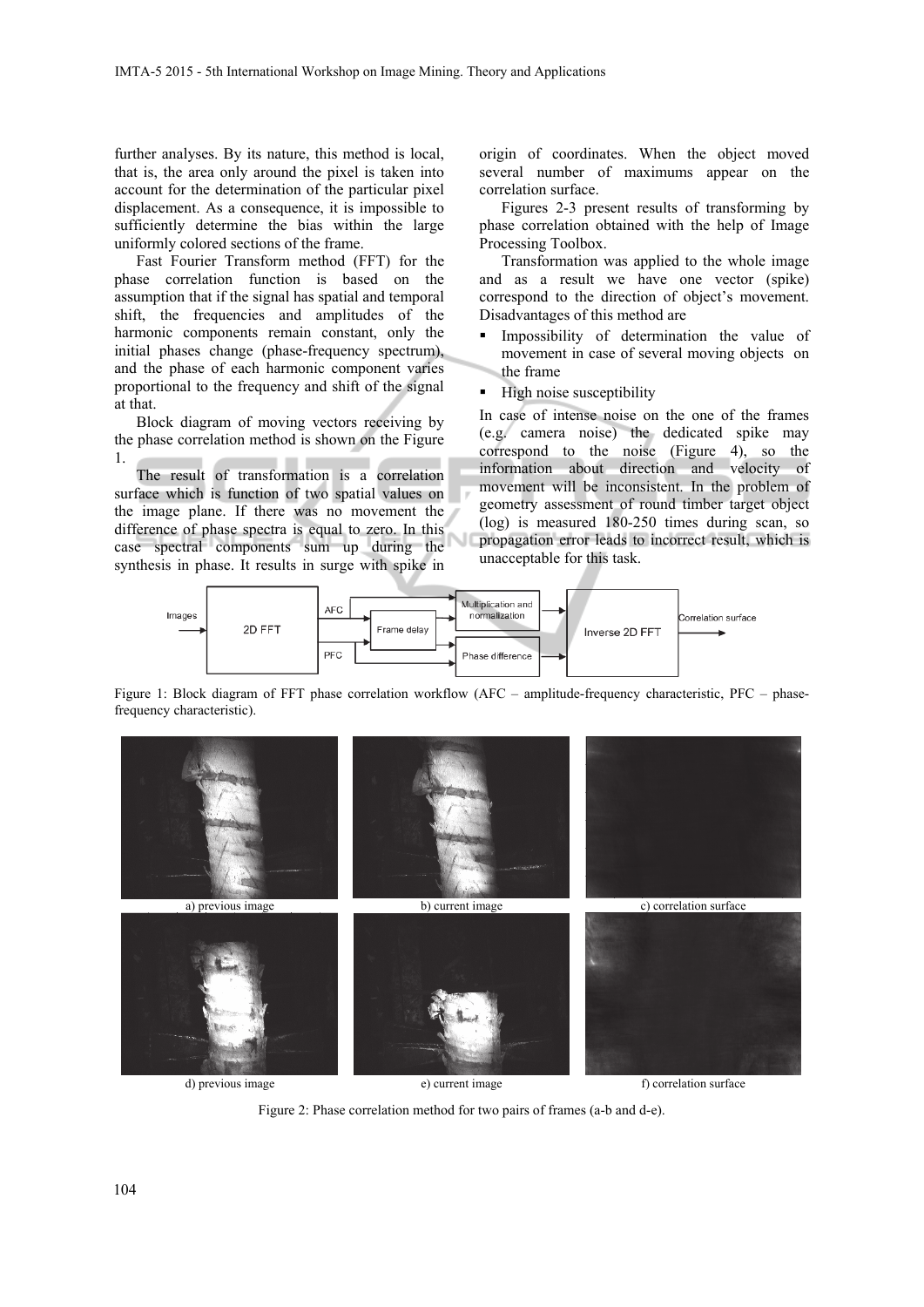further analyses. By its nature, this method is local, that is, the area only around the pixel is taken into account for the determination of the particular pixel displacement. As a consequence, it is impossible to sufficiently determine the bias within the large uniformly colored sections of the frame.

Fast Fourier Transform method (FFT) for the phase correlation function is based on the assumption that if the signal has spatial and temporal shift, the frequencies and amplitudes of the harmonic components remain constant, only the initial phases change (phase-frequency spectrum), and the phase of each harmonic component varies proportional to the frequency and shift of the signal at that.

Block diagram of moving vectors receiving by the phase correlation method is shown on the Figure 1.

The result of transformation is a correlation surface which is function of two spatial values on the image plane. If there was no movement the difference of phase spectra is equal to zero. In this case spectral components sum up during the synthesis in phase. It results in surge with spike in

origin of coordinates. When the object moved several number of maximums appear on the correlation surface.

Figures 2-3 present results of transforming by phase correlation obtained with the help of Image Processing Toolbox.

Transformation was applied to the whole image and as a result we have one vector (spike) correspond to the direction of object's movement. Disadvantages of this method are

- **Impossibility of determination the value of** movement in case of several moving objects on the frame
- High noise susceptibility

In case of intense noise on the one of the frames (e.g. camera noise) the dedicated spike may correspond to the noise (Figure 4), so the information about direction and velocity of movement will be inconsistent. In the problem of geometry assessment of round timber target object (log) is measured 180-250 times during scan, so propagation error leads to incorrect result, which is unacceptable for this task.



Figure 1: Block diagram of FFT phase correlation workflow (AFC – amplitude-frequency characteristic, PFC – phasefrequency characteristic).



Figure 2: Phase correlation method for two pairs of frames (a-b and d-e).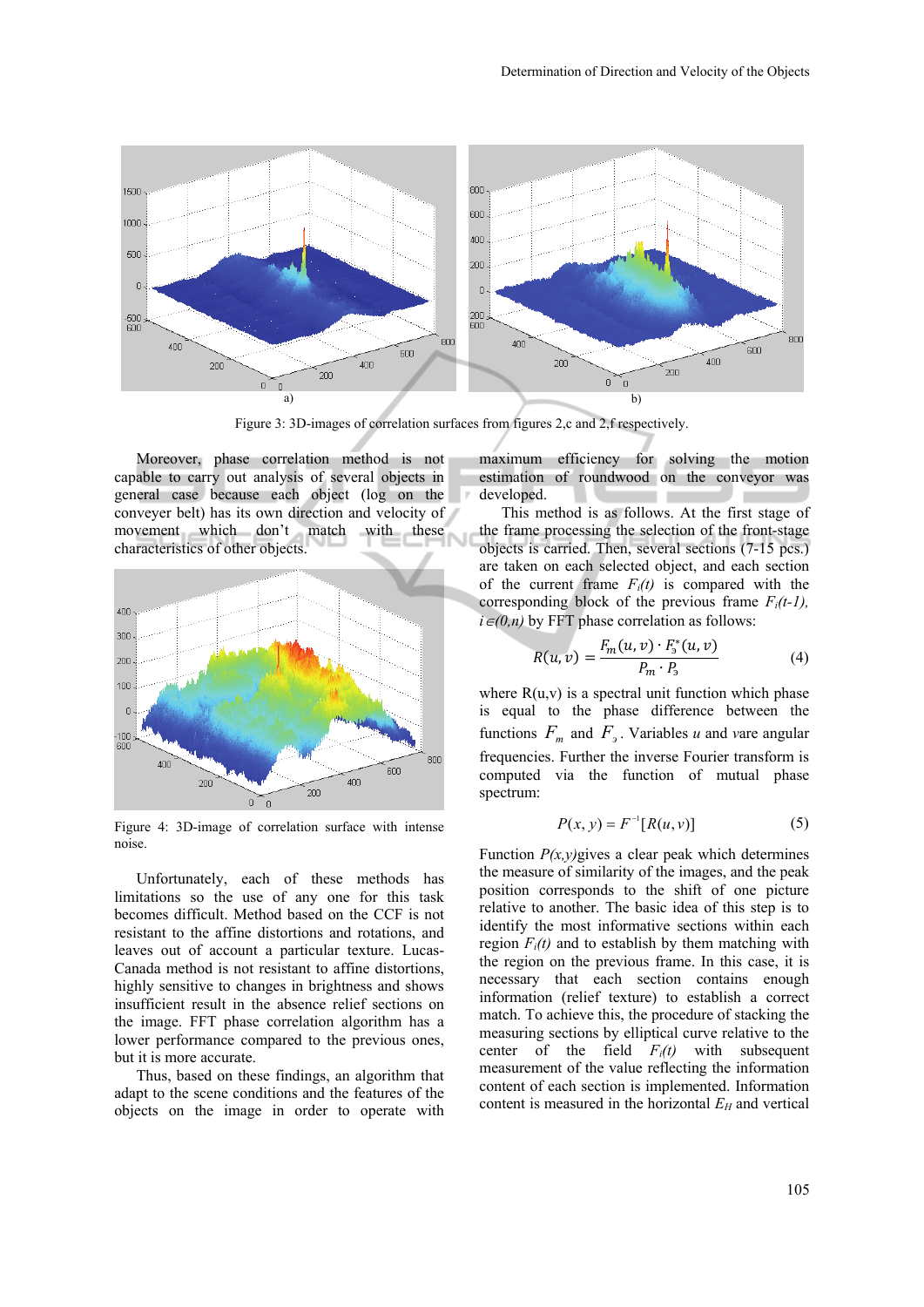

Figure 3: 3D-images of correlation surfaces from figures 2,c and 2,f respectively.

Moreover, phase correlation method is not capable to carry out analysis of several objects in general case because each object (log on the conveyer belt) has its own direction and velocity of movement which don't match with these characteristics of other objects.



Figure 4: 3D-image of correlation surface with intense noise.

Unfortunately, each of these methods has limitations so the use of any one for this task becomes difficult. Method based on the CCF is not resistant to the affine distortions and rotations, and leaves out of account a particular texture. Lucas-Canada method is not resistant to affine distortions, highly sensitive to changes in brightness and shows insufficient result in the absence relief sections on the image. FFT phase correlation algorithm has a lower performance compared to the previous ones, but it is more accurate.

Thus, based on these findings, an algorithm that adapt to the scene conditions and the features of the objects on the image in order to operate with

maximum efficiency for solving the motion estimation of roundwood on the conveyor was developed.

This method is as follows. At the first stage of the frame processing the selection of the front-stage objects is carried. Then, several sections (7-15 pcs.) are taken on each selected object, and each section of the current frame  $F_i(t)$  is compared with the corresponding block of the previous frame  $F_i(t-1)$ ,  $i \in (0, n)$  by FFT phase correlation as follows:

$$
R(u, v) = \frac{F_m(u, v) \cdot F_3^*(u, v)}{P_m \cdot P_3}
$$
 (4)

where  $R(u, v)$  is a spectral unit function which phase is equal to the phase difference between the functions  $F_m$  and  $F_s$ . Variables *u* and *v*are angular frequencies. Further the inverse Fourier transform is computed via the function of mutual phase spectrum:

$$
P(x, y) = F^{-1}[R(u, v)]
$$
 (5)

Function  $P(x, y)$  gives a clear peak which determines the measure of similarity of the images, and the peak position corresponds to the shift of one picture relative to another. The basic idea of this step is to identify the most informative sections within each region  $F_i(t)$  and to establish by them matching with the region on the previous frame. In this case, it is necessary that each section contains enough information (relief texture) to establish a correct match. To achieve this, the procedure of stacking the measuring sections by elliptical curve relative to the center of the field  $F_i(t)$  with subsequent measurement of the value reflecting the information content of each section is implemented. Information content is measured in the horizontal  $E_H$  and vertical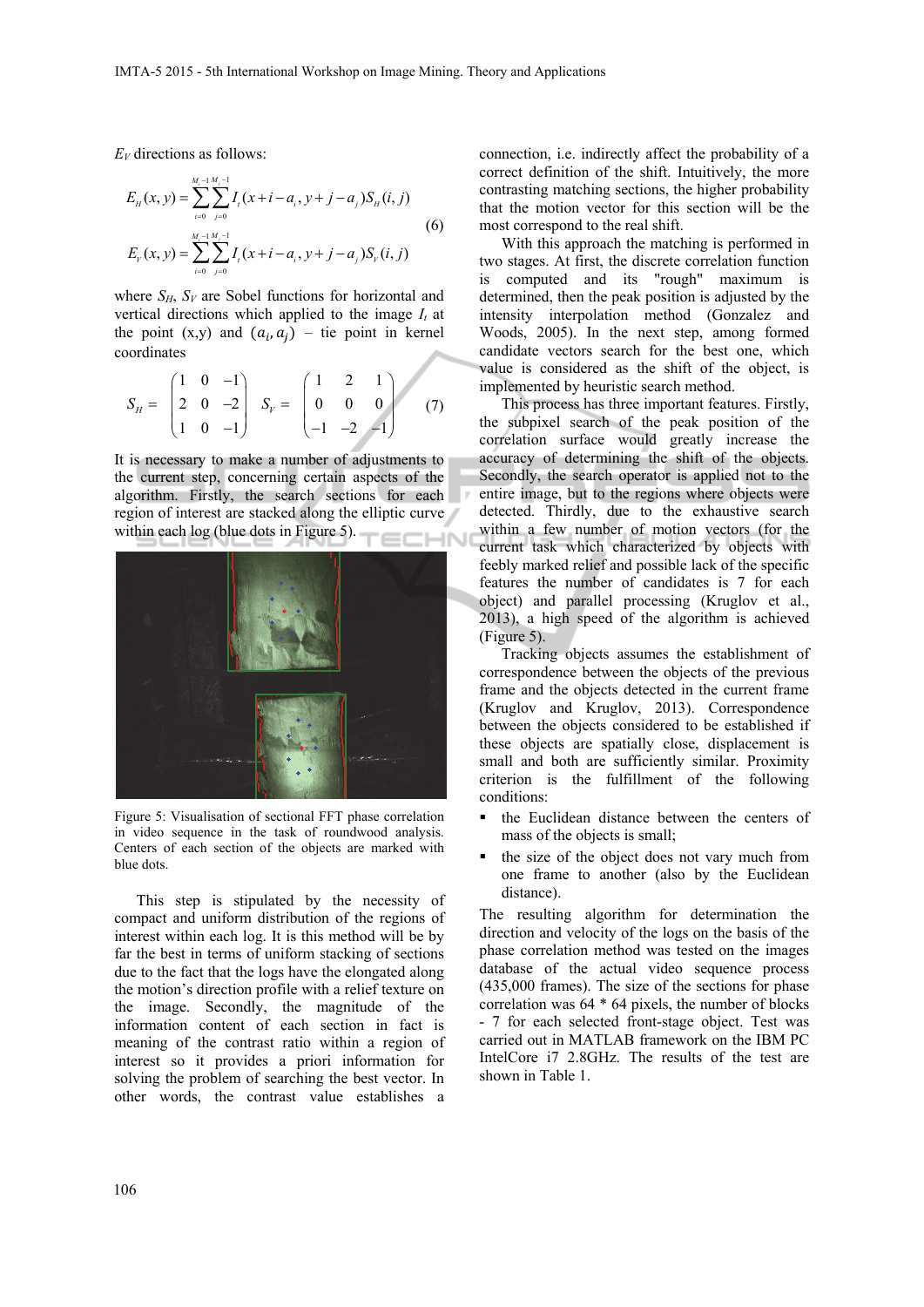*EV* directions as follows:

$$
E_n(x, y) = \sum_{i=0}^{M_i - 1} \sum_{j=0}^{M_j - 1} I_i(x + i - a_i, y + j - a_j) S_n(i, j)
$$
  
(6)  

$$
E_{Y}(x, y) = \sum_{i=0}^{M_i - 1} \sum_{j=0}^{M_j - 1} I_i(x + i - a_i, y + j - a_j) S_{Y}(i, j)
$$

where  $S_H$ ,  $S_V$  are Sobel functions for horizontal and vertical directions which applied to the image  $I_t$  at the point  $(x,y)$  and  $(a_i, a_j)$  – tie point in kernel coordinates

$$
S_H = \begin{pmatrix} 1 & 0 & -1 \\ 2 & 0 & -2 \\ 1 & 0 & -1 \end{pmatrix} \quad S_V = \begin{pmatrix} 1 & 2 & 1 \\ 0 & 0 & 0 \\ -1 & -2 & -1 \end{pmatrix} \tag{7}
$$

It is necessary to make a number of adjustments to the current step, concerning certain aspects of the algorithm. Firstly, the search sections for each region of interest are stacked along the elliptic curve within each log (blue dots in Figure 5). **CHN** 



Figure 5: Visualisation of sectional FFT phase correlation in video sequence in the task of roundwood analysis. Centers of each section of the objects are marked with blue dots.

This step is stipulated by the necessity of compact and uniform distribution of the regions of interest within each log. It is this method will be by far the best in terms of uniform stacking of sections due to the fact that the logs have the elongated along the motion's direction profile with a relief texture on the image. Secondly, the magnitude of the information content of each section in fact is meaning of the contrast ratio within a region of interest so it provides a priori information for solving the problem of searching the best vector. In other words, the contrast value establishes a

connection, i.e. indirectly affect the probability of a correct definition of the shift. Intuitively, the more contrasting matching sections, the higher probability that the motion vector for this section will be the most correspond to the real shift.

With this approach the matching is performed in two stages. At first, the discrete correlation function is computed and its "rough" maximum is determined, then the peak position is adjusted by the intensity interpolation method (Gonzalez and Woods, 2005). In the next step, among formed candidate vectors search for the best one, which value is considered as the shift of the object, is implemented by heuristic search method.

This process has three important features. Firstly, the subpixel search of the peak position of the correlation surface would greatly increase the accuracy of determining the shift of the objects. Secondly, the search operator is applied not to the entire image, but to the regions where objects were detected. Thirdly, due to the exhaustive search within a few number of motion vectors (for the current task which characterized by objects with feebly marked relief and possible lack of the specific features the number of candidates is 7 for each object) and parallel processing (Kruglov et al., 2013), a high speed of the algorithm is achieved (Figure 5).

Tracking objects assumes the establishment of correspondence between the objects of the previous frame and the objects detected in the current frame (Kruglov and Kruglov, 2013). Correspondence between the objects considered to be established if these objects are spatially close, displacement is small and both are sufficiently similar. Proximity criterion is the fulfillment of the following conditions:

- the Euclidean distance between the centers of mass of the objects is small;
- the size of the object does not vary much from one frame to another (also by the Euclidean distance).

The resulting algorithm for determination the direction and velocity of the logs on the basis of the phase correlation method was tested on the images database of the actual video sequence process (435,000 frames). The size of the sections for phase correlation was 64 \* 64 pixels, the number of blocks - 7 for each selected front-stage object. Test was carried out in MATLAB framework on the IBM PC IntelCore i7 2.8GHz. The results of the test are shown in Table 1.